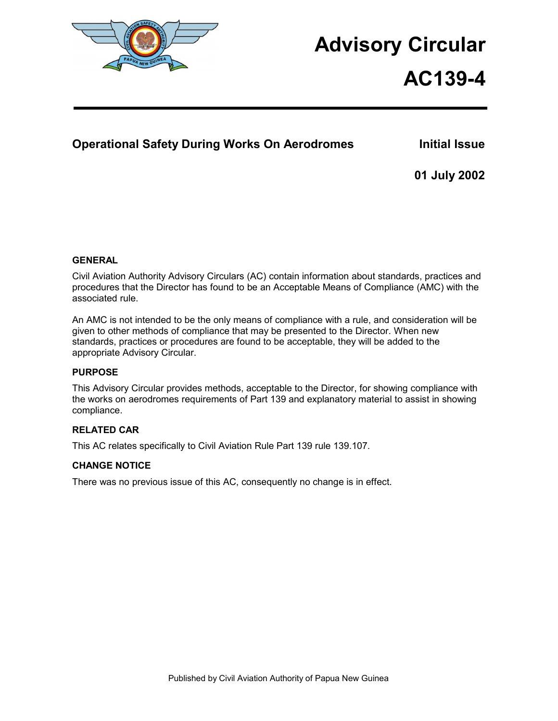

# **Advisory Circular**

# **AC139-4**

# **Operational Safety During Works On Aerodromes Multimer Initial Issue**

**01 July 2002** 

# **GENERAL**

Civil Aviation Authority Advisory Circulars (AC) contain information about standards, practices and procedures that the Director has found to be an Acceptable Means of Compliance (AMC) with the associated rule.

An AMC is not intended to be the only means of compliance with a rule, and consideration will be given to other methods of compliance that may be presented to the Director. When new standards, practices or procedures are found to be acceptable, they will be added to the appropriate Advisory Circular.

# **PURPOSE**

This Advisory Circular provides methods, acceptable to the Director, for showing compliance with the works on aerodromes requirements of Part 139 and explanatory material to assist in showing compliance.

# **RELATED CAR**

This AC relates specifically to Civil Aviation Rule Part 139 rule 139.107.

# **CHANGE NOTICE**

There was no previous issue of this AC, consequently no change is in effect.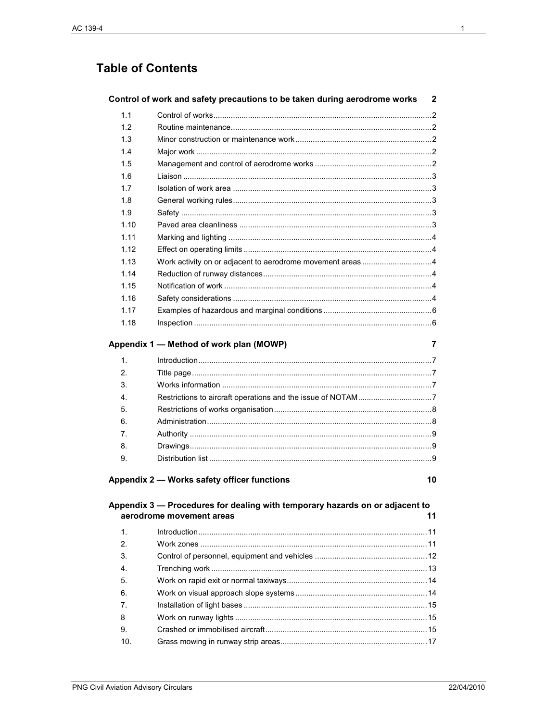# **Table of Contents**

|      | Control of work and safety precautions to be taken during aerodrome works    | 2  |
|------|------------------------------------------------------------------------------|----|
| 1.1  |                                                                              |    |
| 1.2  |                                                                              |    |
| 1.3  |                                                                              |    |
| 1.4  |                                                                              |    |
| 1.5  |                                                                              |    |
| 1.6  |                                                                              |    |
| 1.7  |                                                                              |    |
| 1.8  |                                                                              |    |
| 1.9  |                                                                              |    |
| 1.10 |                                                                              |    |
| 1.11 |                                                                              |    |
| 1.12 |                                                                              |    |
| 1.13 |                                                                              |    |
| 1.14 |                                                                              |    |
| 1.15 |                                                                              |    |
| 1.16 |                                                                              |    |
| 1.17 |                                                                              |    |
| 1.18 |                                                                              |    |
|      | Appendix 1 — Method of work plan (MOWP)                                      | 7  |
| 1.   |                                                                              |    |
| 2.   |                                                                              |    |
| 3.   |                                                                              |    |
| 4.   |                                                                              |    |
| 5.   |                                                                              |    |
| 6.   |                                                                              |    |
| 7.   |                                                                              |    |
| 8.   |                                                                              |    |
| 9.   |                                                                              |    |
|      | Appendix 2 — Works safety officer functions                                  | 10 |
|      | Appendix 3 - Procedures for dealing with temporary hazards on or adjacent to |    |
|      | aerodrome movement areas                                                     | 11 |
| 1.   |                                                                              |    |
| 2.   |                                                                              |    |
| 3.   |                                                                              |    |
| 4.   |                                                                              |    |
| 5.   |                                                                              |    |
| 6.   |                                                                              |    |
| 7.   |                                                                              |    |
| 8    |                                                                              |    |
| 9.   |                                                                              |    |
| 10.  |                                                                              |    |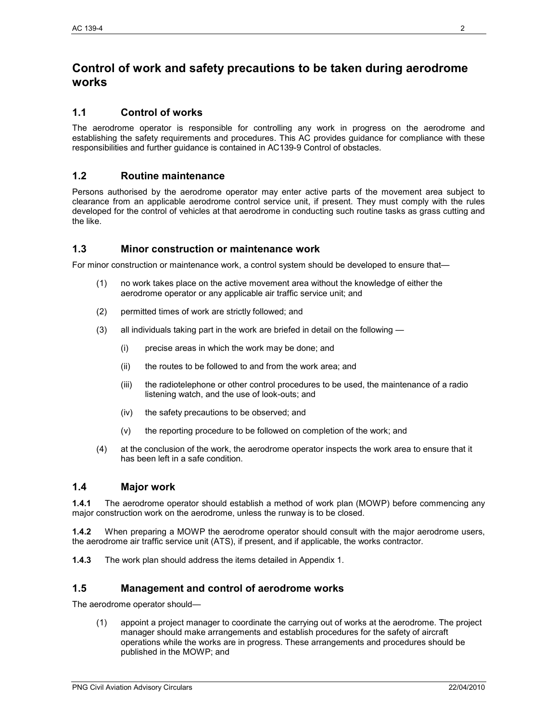# **Control of work and safety precautions to be taken during aerodrome works**

# **1.1 Control of works**

The aerodrome operator is responsible for controlling any work in progress on the aerodrome and establishing the safety requirements and procedures. This AC provides guidance for compliance with these responsibilities and further guidance is contained in AC139-9 Control of obstacles.

# **1.2 Routine maintenance**

Persons authorised by the aerodrome operator may enter active parts of the movement area subject to clearance from an applicable aerodrome control service unit, if present. They must comply with the rules developed for the control of vehicles at that aerodrome in conducting such routine tasks as grass cutting and the like.

## **1.3 Minor construction or maintenance work**

For minor construction or maintenance work, a control system should be developed to ensure that—

- (1) no work takes place on the active movement area without the knowledge of either the aerodrome operator or any applicable air traffic service unit; and
- (2) permitted times of work are strictly followed; and
- (3) all individuals taking part in the work are briefed in detail on the following
	- (i) precise areas in which the work may be done; and
	- (ii) the routes to be followed to and from the work area; and
	- (iii) the radiotelephone or other control procedures to be used, the maintenance of a radio listening watch, and the use of look-outs; and
	- (iv) the safety precautions to be observed; and
	- (v) the reporting procedure to be followed on completion of the work; and
- (4) at the conclusion of the work, the aerodrome operator inspects the work area to ensure that it has been left in a safe condition.

# **1.4 Major work**

**1.4.1** The aerodrome operator should establish a method of work plan (MOWP) before commencing any major construction work on the aerodrome, unless the runway is to be closed.

**1.4.2** When preparing a MOWP the aerodrome operator should consult with the major aerodrome users, the aerodrome air traffic service unit (ATS), if present, and if applicable, the works contractor.

**1.4.3** The work plan should address the items detailed in Appendix 1.

# **1.5 Management and control of aerodrome works**

The aerodrome operator should—

(1) appoint a project manager to coordinate the carrying out of works at the aerodrome. The project manager should make arrangements and establish procedures for the safety of aircraft operations while the works are in progress. These arrangements and procedures should be published in the MOWP; and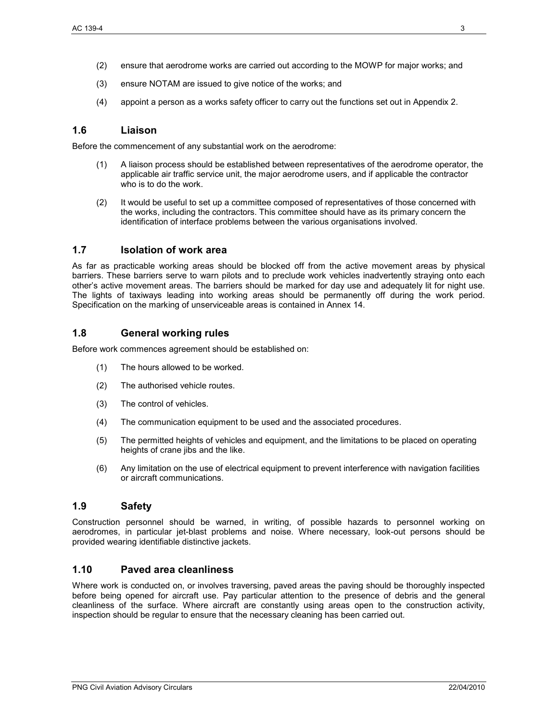- (2) ensure that aerodrome works are carried out according to the MOWP for major works; and
- (3) ensure NOTAM are issued to give notice of the works; and
- (4) appoint a person as a works safety officer to carry out the functions set out in Appendix 2.

## **1.6 Liaison**

Before the commencement of any substantial work on the aerodrome:

- (1) A liaison process should be established between representatives of the aerodrome operator, the applicable air traffic service unit, the major aerodrome users, and if applicable the contractor who is to do the work.
- (2) It would be useful to set up a committee composed of representatives of those concerned with the works, including the contractors. This committee should have as its primary concern the identification of interface problems between the various organisations involved.

## **1.7 Isolation of work area**

As far as practicable working areas should be blocked off from the active movement areas by physical barriers. These barriers serve to warn pilots and to preclude work vehicles inadvertently straying onto each other's active movement areas. The barriers should be marked for day use and adequately lit for night use. The lights of taxiways leading into working areas should be permanently off during the work period. Specification on the marking of unserviceable areas is contained in Annex 14.

## **1.8 General working rules**

Before work commences agreement should be established on:

- (1) The hours allowed to be worked.
- (2) The authorised vehicle routes.
- (3) The control of vehicles.
- (4) The communication equipment to be used and the associated procedures.
- (5) The permitted heights of vehicles and equipment, and the limitations to be placed on operating heights of crane jibs and the like.
- (6) Any limitation on the use of electrical equipment to prevent interference with navigation facilities or aircraft communications.

# **1.9 Safety**

Construction personnel should be warned, in writing, of possible hazards to personnel working on aerodromes, in particular jet-blast problems and noise. Where necessary, look-out persons should be provided wearing identifiable distinctive jackets.

## **1.10 Paved area cleanliness**

Where work is conducted on, or involves traversing, paved areas the paving should be thoroughly inspected before being opened for aircraft use. Pay particular attention to the presence of debris and the general cleanliness of the surface. Where aircraft are constantly using areas open to the construction activity, inspection should be regular to ensure that the necessary cleaning has been carried out.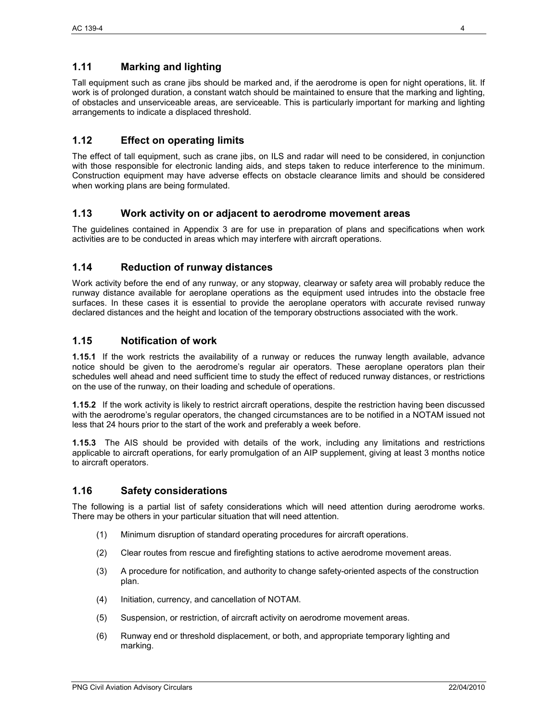# **1.11 Marking and lighting**

Tall equipment such as crane jibs should be marked and, if the aerodrome is open for night operations, lit. If work is of prolonged duration, a constant watch should be maintained to ensure that the marking and lighting, of obstacles and unserviceable areas, are serviceable. This is particularly important for marking and lighting arrangements to indicate a displaced threshold.

# **1.12 Effect on operating limits**

The effect of tall equipment, such as crane jibs, on ILS and radar will need to be considered, in conjunction with those responsible for electronic landing aids, and steps taken to reduce interference to the minimum. Construction equipment may have adverse effects on obstacle clearance limits and should be considered when working plans are being formulated.

# **1.13 Work activity on or adjacent to aerodrome movement areas**

The guidelines contained in Appendix 3 are for use in preparation of plans and specifications when work activities are to be conducted in areas which may interfere with aircraft operations.

# **1.14 Reduction of runway distances**

Work activity before the end of any runway, or any stopway, clearway or safety area will probably reduce the runway distance available for aeroplane operations as the equipment used intrudes into the obstacle free surfaces. In these cases it is essential to provide the aeroplane operators with accurate revised runway declared distances and the height and location of the temporary obstructions associated with the work.

# **1.15 Notification of work**

**1.15.1** If the work restricts the availability of a runway or reduces the runway length available, advance notice should be given to the aerodrome's regular air operators. These aeroplane operators plan their schedules well ahead and need sufficient time to study the effect of reduced runway distances, or restrictions on the use of the runway, on their loading and schedule of operations.

**1.15.2** If the work activity is likely to restrict aircraft operations, despite the restriction having been discussed with the aerodrome's regular operators, the changed circumstances are to be notified in a NOTAM issued not less that 24 hours prior to the start of the work and preferably a week before.

**1.15.3** The AIS should be provided with details of the work, including any limitations and restrictions applicable to aircraft operations, for early promulgation of an AIP supplement, giving at least 3 months notice to aircraft operators.

# **1.16 Safety considerations**

The following is a partial list of safety considerations which will need attention during aerodrome works. There may be others in your particular situation that will need attention.

- (1) Minimum disruption of standard operating procedures for aircraft operations.
- (2) Clear routes from rescue and firefighting stations to active aerodrome movement areas.
- (3) A procedure for notification, and authority to change safety-oriented aspects of the construction plan.
- (4) Initiation, currency, and cancellation of NOTAM.
- (5) Suspension, or restriction, of aircraft activity on aerodrome movement areas.
- (6) Runway end or threshold displacement, or both, and appropriate temporary lighting and marking.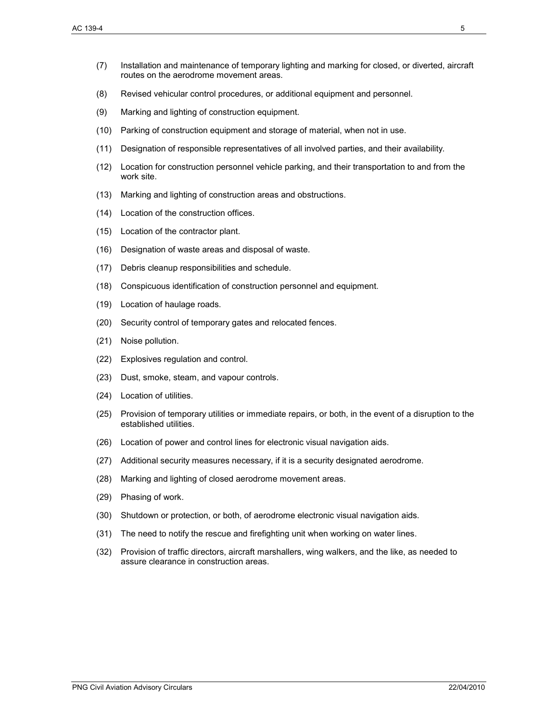- (7) Installation and maintenance of temporary lighting and marking for closed, or diverted, aircraft routes on the aerodrome movement areas.
- (8) Revised vehicular control procedures, or additional equipment and personnel.
- (9) Marking and lighting of construction equipment.
- (10) Parking of construction equipment and storage of material, when not in use.
- (11) Designation of responsible representatives of all involved parties, and their availability.
- (12) Location for construction personnel vehicle parking, and their transportation to and from the work site.
- (13) Marking and lighting of construction areas and obstructions.
- (14) Location of the construction offices.
- (15) Location of the contractor plant.
- (16) Designation of waste areas and disposal of waste.
- (17) Debris cleanup responsibilities and schedule.
- (18) Conspicuous identification of construction personnel and equipment.
- (19) Location of haulage roads.
- (20) Security control of temporary gates and relocated fences.
- (21) Noise pollution.
- (22) Explosives regulation and control.
- (23) Dust, smoke, steam, and vapour controls.
- (24) Location of utilities.
- (25) Provision of temporary utilities or immediate repairs, or both, in the event of a disruption to the established utilities.
- (26) Location of power and control lines for electronic visual navigation aids.
- (27) Additional security measures necessary, if it is a security designated aerodrome.
- (28) Marking and lighting of closed aerodrome movement areas.
- (29) Phasing of work.
- (30) Shutdown or protection, or both, of aerodrome electronic visual navigation aids.
- (31) The need to notify the rescue and firefighting unit when working on water lines.
- (32) Provision of traffic directors, aircraft marshallers, wing walkers, and the like, as needed to assure clearance in construction areas.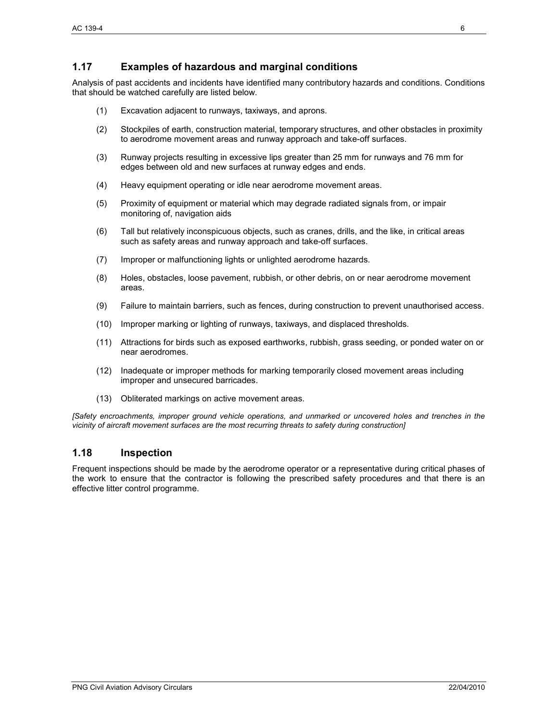# **1.17 Examples of hazardous and marginal conditions**

Analysis of past accidents and incidents have identified many contributory hazards and conditions. Conditions that should be watched carefully are listed below.

- (1) Excavation adjacent to runways, taxiways, and aprons.
- (2) Stockpiles of earth, construction material, temporary structures, and other obstacles in proximity to aerodrome movement areas and runway approach and take-off surfaces.
- (3) Runway projects resulting in excessive lips greater than 25 mm for runways and 76 mm for edges between old and new surfaces at runway edges and ends.
- (4) Heavy equipment operating or idle near aerodrome movement areas.
- (5) Proximity of equipment or material which may degrade radiated signals from, or impair monitoring of, navigation aids
- (6) Tall but relatively inconspicuous objects, such as cranes, drills, and the like, in critical areas such as safety areas and runway approach and take-off surfaces.
- (7) Improper or malfunctioning lights or unlighted aerodrome hazards.
- (8) Holes, obstacles, loose pavement, rubbish, or other debris, on or near aerodrome movement areas.
- (9) Failure to maintain barriers, such as fences, during construction to prevent unauthorised access.
- (10) Improper marking or lighting of runways, taxiways, and displaced thresholds.
- (11) Attractions for birds such as exposed earthworks, rubbish, grass seeding, or ponded water on or near aerodromes.
- (12) Inadequate or improper methods for marking temporarily closed movement areas including improper and unsecured barricades.
- (13) Obliterated markings on active movement areas.

*[Safety encroachments, improper ground vehicle operations, and unmarked or uncovered holes and trenches in the vicinity of aircraft movement surfaces are the most recurring threats to safety during construction]* 

# **1.18 Inspection**

Frequent inspections should be made by the aerodrome operator or a representative during critical phases of the work to ensure that the contractor is following the prescribed safety procedures and that there is an effective litter control programme.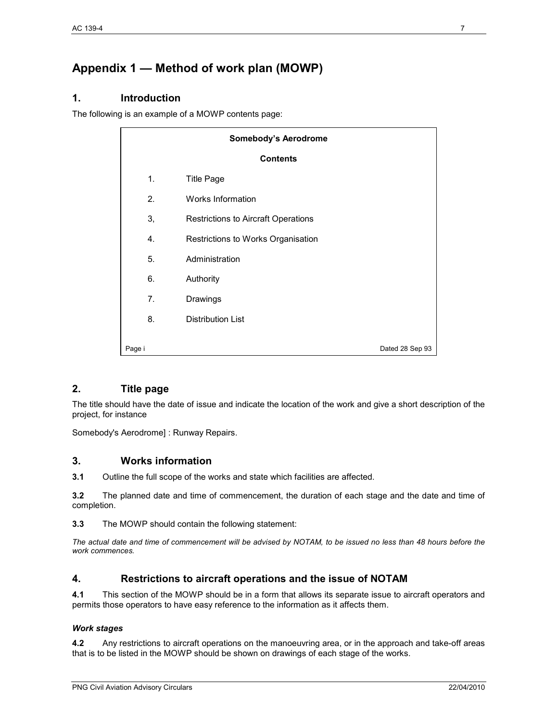# **Appendix 1 — Method of work plan (MOWP)**

# **1. Introduction**

The following is an example of a MOWP contents page:

| <b>Somebody's Aerodrome</b> |  |                                            |                 |  |
|-----------------------------|--|--------------------------------------------|-----------------|--|
| <b>Contents</b>             |  |                                            |                 |  |
| 1.                          |  | <b>Title Page</b>                          |                 |  |
| 2.                          |  | Works Information                          |                 |  |
| 3,                          |  | <b>Restrictions to Aircraft Operations</b> |                 |  |
| 4.                          |  | Restrictions to Works Organisation         |                 |  |
| 5.                          |  | Administration                             |                 |  |
| 6.                          |  | Authority                                  |                 |  |
| 7.                          |  | Drawings                                   |                 |  |
| 8.                          |  | <b>Distribution List</b>                   |                 |  |
| Page i                      |  |                                            | Dated 28 Sep 93 |  |

# **2. Title page**

The title should have the date of issue and indicate the location of the work and give a short description of the project, for instance

Somebody's Aerodrome] : Runway Repairs.

# **3. Works information**

**3.1** Outline the full scope of the works and state which facilities are affected.

**3.2** The planned date and time of commencement, the duration of each stage and the date and time of completion.

**3.3** The MOWP should contain the following statement:

*The actual date and time of commencement will be advised by NOTAM, to be issued no less than 48 hours before the work commences.* 

# **4. Restrictions to aircraft operations and the issue of NOTAM**

**4.1** This section of the MOWP should be in a form that allows its separate issue to aircraft operators and permits those operators to have easy reference to the information as it affects them.

#### *Work stages*

**4.2** Any restrictions to aircraft operations on the manoeuvring area, or in the approach and take-off areas that is to be listed in the MOWP should be shown on drawings of each stage of the works.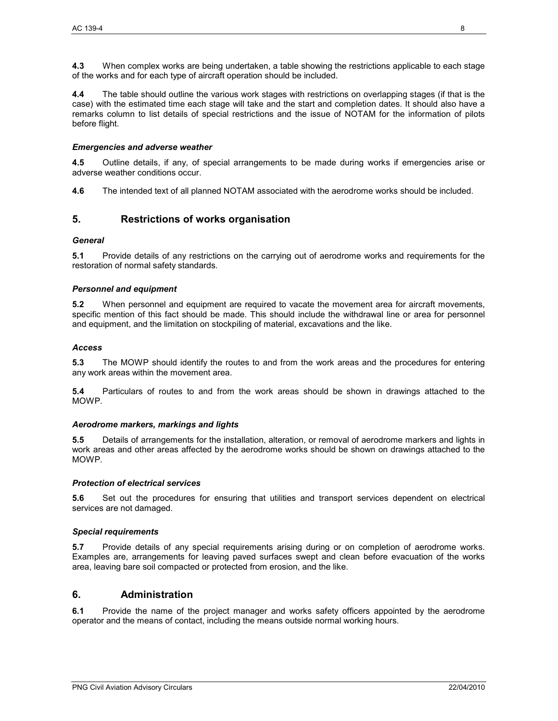**4.3** When complex works are being undertaken, a table showing the restrictions applicable to each stage of the works and for each type of aircraft operation should be included.

**4.4** The table should outline the various work stages with restrictions on overlapping stages (if that is the case) with the estimated time each stage will take and the start and completion dates. It should also have a remarks column to list details of special restrictions and the issue of NOTAM for the information of pilots before flight.

#### *Emergencies and adverse weather*

**4.5** Outline details, if any, of special arrangements to be made during works if emergencies arise or adverse weather conditions occur.

**4.6** The intended text of all planned NOTAM associated with the aerodrome works should be included.

# **5. Restrictions of works organisation**

#### *General*

**5.1** Provide details of any restrictions on the carrying out of aerodrome works and requirements for the restoration of normal safety standards.

#### *Personnel and equipment*

**5.2** When personnel and equipment are required to vacate the movement area for aircraft movements, specific mention of this fact should be made. This should include the withdrawal line or area for personnel and equipment, and the limitation on stockpiling of material, excavations and the like.

#### *Access*

**5.3** The MOWP should identify the routes to and from the work areas and the procedures for entering any work areas within the movement area.

**5.4** Particulars of routes to and from the work areas should be shown in drawings attached to the MOWP.

#### *Aerodrome markers, markings and lights*

**5.5** Details of arrangements for the installation, alteration, or removal of aerodrome markers and lights in work areas and other areas affected by the aerodrome works should be shown on drawings attached to the MOWP.

#### *Protection of electrical services*

**5.6** Set out the procedures for ensuring that utilities and transport services dependent on electrical services are not damaged.

#### *Special requirements*

**5.7** Provide details of any special requirements arising during or on completion of aerodrome works. Examples are, arrangements for leaving paved surfaces swept and clean before evacuation of the works area, leaving bare soil compacted or protected from erosion, and the like.

# **6. Administration**

**6.1** Provide the name of the project manager and works safety officers appointed by the aerodrome operator and the means of contact, including the means outside normal working hours.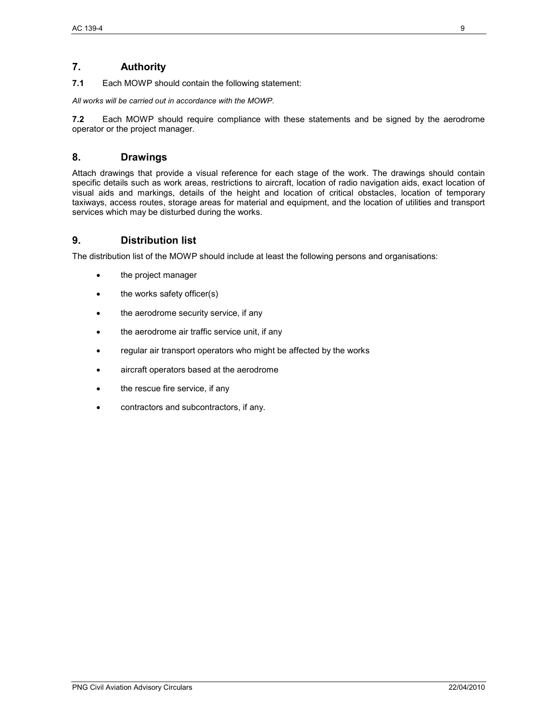# **7. Authority**

**7.1** Each MOWP should contain the following statement:

*All works will be carried out in accordance with the MOWP.* 

**7.2** Each MOWP should require compliance with these statements and be signed by the aerodrome operator or the project manager.

# **8. Drawings**

Attach drawings that provide a visual reference for each stage of the work. The drawings should contain specific details such as work areas, restrictions to aircraft, location of radio navigation aids, exact location of visual aids and markings, details of the height and location of critical obstacles, location of temporary taxiways, access routes, storage areas for material and equipment, and the location of utilities and transport services which may be disturbed during the works.

# **9. Distribution list**

The distribution list of the MOWP should include at least the following persons and organisations:

- the project manager
- the works safety officer(s)
- the aerodrome security service, if any
- the aerodrome air traffic service unit, if any
- regular air transport operators who might be affected by the works
- aircraft operators based at the aerodrome
- the rescue fire service, if any
- contractors and subcontractors, if any.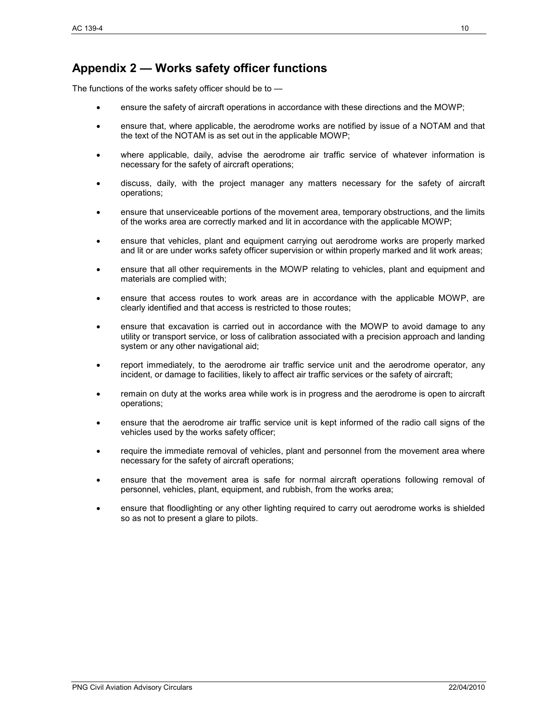# **Appendix 2 — Works safety officer functions**

The functions of the works safety officer should be to —

- ensure the safety of aircraft operations in accordance with these directions and the MOWP;
- ensure that, where applicable, the aerodrome works are notified by issue of a NOTAM and that the text of the NOTAM is as set out in the applicable MOWP;
- where applicable, daily, advise the aerodrome air traffic service of whatever information is necessary for the safety of aircraft operations;
- discuss, daily, with the project manager any matters necessary for the safety of aircraft operations;
- ensure that unserviceable portions of the movement area, temporary obstructions, and the limits of the works area are correctly marked and lit in accordance with the applicable MOWP;
- ensure that vehicles, plant and equipment carrying out aerodrome works are properly marked and lit or are under works safety officer supervision or within properly marked and lit work areas;
- ensure that all other requirements in the MOWP relating to vehicles, plant and equipment and materials are complied with;
- ensure that access routes to work areas are in accordance with the applicable MOWP, are clearly identified and that access is restricted to those routes;
- ensure that excavation is carried out in accordance with the MOWP to avoid damage to any utility or transport service, or loss of calibration associated with a precision approach and landing system or any other navigational aid;
- report immediately, to the aerodrome air traffic service unit and the aerodrome operator, any incident, or damage to facilities, likely to affect air traffic services or the safety of aircraft;
- remain on duty at the works area while work is in progress and the aerodrome is open to aircraft operations;
- ensure that the aerodrome air traffic service unit is kept informed of the radio call signs of the vehicles used by the works safety officer;
- require the immediate removal of vehicles, plant and personnel from the movement area where necessary for the safety of aircraft operations;
- ensure that the movement area is safe for normal aircraft operations following removal of personnel, vehicles, plant, equipment, and rubbish, from the works area;
- ensure that floodlighting or any other lighting required to carry out aerodrome works is shielded so as not to present a glare to pilots.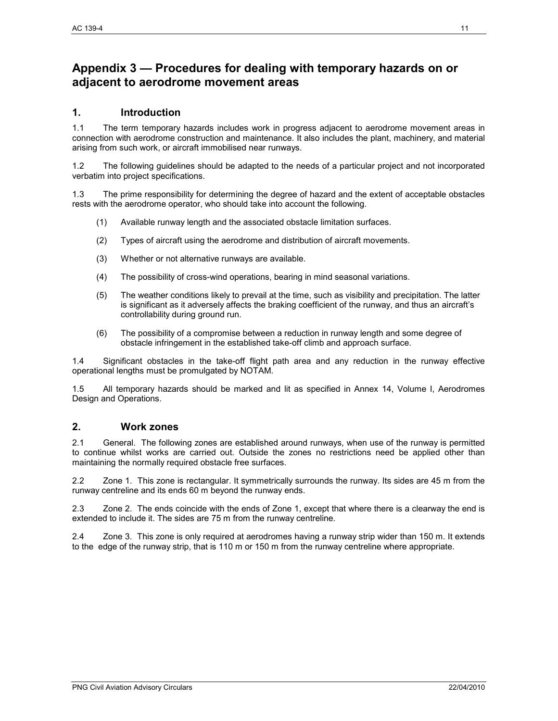# **Appendix 3 — Procedures for dealing with temporary hazards on or adjacent to aerodrome movement areas**

# **1. Introduction**

1.1 The term temporary hazards includes work in progress adjacent to aerodrome movement areas in connection with aerodrome construction and maintenance. It also includes the plant, machinery, and material arising from such work, or aircraft immobilised near runways.

1.2 The following guidelines should be adapted to the needs of a particular project and not incorporated verbatim into project specifications.

1.3 The prime responsibility for determining the degree of hazard and the extent of acceptable obstacles rests with the aerodrome operator, who should take into account the following.

- (1) Available runway length and the associated obstacle limitation surfaces.
- (2) Types of aircraft using the aerodrome and distribution of aircraft movements.
- (3) Whether or not alternative runways are available.
- (4) The possibility of cross-wind operations, bearing in mind seasonal variations.
- (5) The weather conditions likely to prevail at the time, such as visibility and precipitation. The latter is significant as it adversely affects the braking coefficient of the runway, and thus an aircraft's controllability during ground run.
- (6) The possibility of a compromise between a reduction in runway length and some degree of obstacle infringement in the established take-off climb and approach surface.

1.4 Significant obstacles in the take-off flight path area and any reduction in the runway effective operational lengths must be promulgated by NOTAM.

1.5 All temporary hazards should be marked and lit as specified in Annex 14, Volume I, Aerodromes Design and Operations.

# **2. Work zones**

2.1 General. The following zones are established around runways, when use of the runway is permitted to continue whilst works are carried out. Outside the zones no restrictions need be applied other than maintaining the normally required obstacle free surfaces.

2.2 Zone 1. This zone is rectangular. It symmetrically surrounds the runway. Its sides are 45 m from the runway centreline and its ends 60 m beyond the runway ends.

2.3 Zone 2. The ends coincide with the ends of Zone 1, except that where there is a clearway the end is extended to include it. The sides are 75 m from the runway centreline.

2.4 Zone 3. This zone is only required at aerodromes having a runway strip wider than 150 m. It extends to the edge of the runway strip, that is 110 m or 150 m from the runway centreline where appropriate.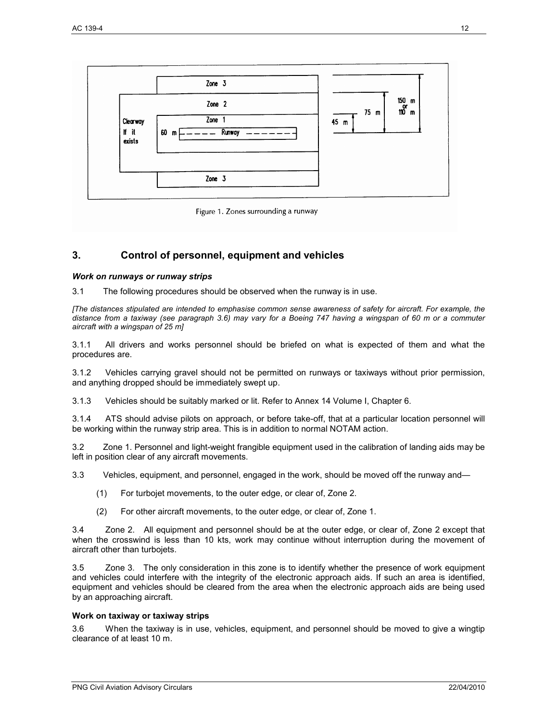

# **3. Control of personnel, equipment and vehicles**

#### *Work on runways or runway strips*

3.1 The following procedures should be observed when the runway is in use.

*[The distances stipulated are intended to emphasise common sense awareness of safety for aircraft. For example, the distance from a taxiway (see paragraph 3.6) may vary for a Boeing 747 having a wingspan of 60 m or a commuter aircraft with a wingspan of 25 m]* 

3.1.1 All drivers and works personnel should be briefed on what is expected of them and what the procedures are.

3.1.2 Vehicles carrying gravel should not be permitted on runways or taxiways without prior permission, and anything dropped should be immediately swept up.

3.1.3 Vehicles should be suitably marked or lit. Refer to Annex 14 Volume I, Chapter 6.

3.1.4 ATS should advise pilots on approach, or before take-off, that at a particular location personnel will be working within the runway strip area. This is in addition to normal NOTAM action.

3.2 Zone 1. Personnel and light-weight frangible equipment used in the calibration of landing aids may be left in position clear of any aircraft movements.

3.3 Vehicles, equipment, and personnel, engaged in the work, should be moved off the runway and—

- (1) For turbojet movements, to the outer edge, or clear of, Zone 2.
- (2) For other aircraft movements, to the outer edge, or clear of, Zone 1.

3.4 Zone 2. All equipment and personnel should be at the outer edge, or clear of, Zone 2 except that when the crosswind is less than 10 kts, work may continue without interruption during the movement of aircraft other than turbojets.

3.5 Zone 3. The only consideration in this zone is to identify whether the presence of work equipment and vehicles could interfere with the integrity of the electronic approach aids. If such an area is identified, equipment and vehicles should be cleared from the area when the electronic approach aids are being used by an approaching aircraft.

#### **Work on taxiway or taxiway strips**

3.6 When the taxiway is in use, vehicles, equipment, and personnel should be moved to give a wingtip clearance of at least 10 m.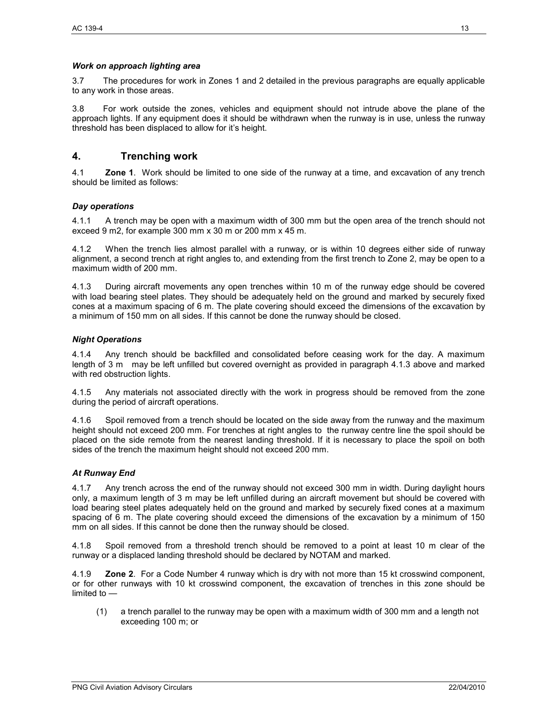#### *Work on approach lighting area*

3.7 The procedures for work in Zones 1 and 2 detailed in the previous paragraphs are equally applicable to any work in those areas.

3.8 For work outside the zones, vehicles and equipment should not intrude above the plane of the approach lights. If any equipment does it should be withdrawn when the runway is in use, unless the runway threshold has been displaced to allow for it's height.

# **4. Trenching work**

4.1 **Zone 1**. Work should be limited to one side of the runway at a time, and excavation of any trench should be limited as follows:

#### *Day operations*

4.1.1 A trench may be open with a maximum width of 300 mm but the open area of the trench should not exceed 9 m2, for example 300 mm x 30 m or 200 mm x 45 m.

4.1.2 When the trench lies almost parallel with a runway, or is within 10 degrees either side of runway alignment, a second trench at right angles to, and extending from the first trench to Zone 2, may be open to a maximum width of 200 mm.

4.1.3 During aircraft movements any open trenches within 10 m of the runway edge should be covered with load bearing steel plates. They should be adequately held on the ground and marked by securely fixed cones at a maximum spacing of 6 m. The plate covering should exceed the dimensions of the excavation by a minimum of 150 mm on all sides. If this cannot be done the runway should be closed.

#### *Night Operations*

4.1.4 Any trench should be backfilled and consolidated before ceasing work for the day. A maximum length of 3 m may be left unfilled but covered overnight as provided in paragraph 4.1.3 above and marked with red obstruction lights.

4.1.5 Any materials not associated directly with the work in progress should be removed from the zone during the period of aircraft operations.

4.1.6 Spoil removed from a trench should be located on the side away from the runway and the maximum height should not exceed 200 mm. For trenches at right angles to the runway centre line the spoil should be placed on the side remote from the nearest landing threshold. If it is necessary to place the spoil on both sides of the trench the maximum height should not exceed 200 mm.

#### *At Runway End*

4.1.7 Any trench across the end of the runway should not exceed 300 mm in width. During daylight hours only, a maximum length of 3 m may be left unfilled during an aircraft movement but should be covered with load bearing steel plates adequately held on the ground and marked by securely fixed cones at a maximum spacing of 6 m. The plate covering should exceed the dimensions of the excavation by a minimum of 150 mm on all sides. If this cannot be done then the runway should be closed.

4.1.8 Spoil removed from a threshold trench should be removed to a point at least 10 m clear of the runway or a displaced landing threshold should be declared by NOTAM and marked.

4.1.9 **Zone 2**. For a Code Number 4 runway which is dry with not more than 15 kt crosswind component, or for other runways with 10 kt crosswind component, the excavation of trenches in this zone should be limited to —

(1) a trench parallel to the runway may be open with a maximum width of 300 mm and a length not exceeding 100 m; or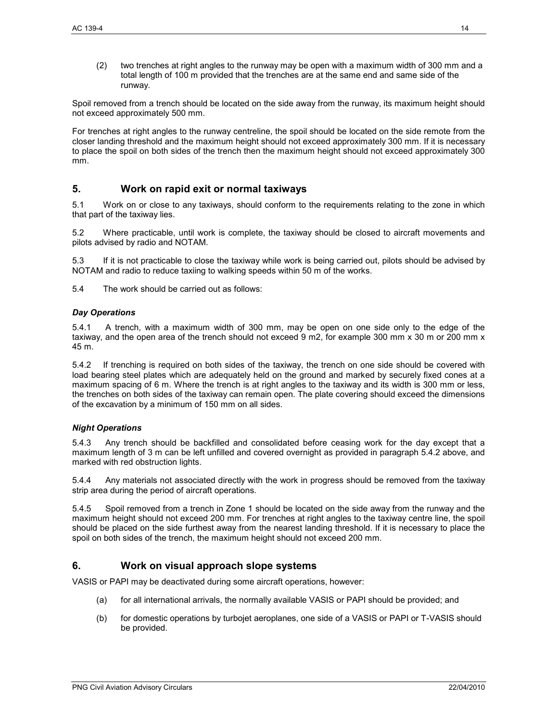(2) two trenches at right angles to the runway may be open with a maximum width of 300 mm and a total length of 100 m provided that the trenches are at the same end and same side of the runway.

Spoil removed from a trench should be located on the side away from the runway, its maximum height should not exceed approximately 500 mm.

For trenches at right angles to the runway centreline, the spoil should be located on the side remote from the closer landing threshold and the maximum height should not exceed approximately 300 mm. If it is necessary to place the spoil on both sides of the trench then the maximum height should not exceed approximately 300 mm.

# **5. Work on rapid exit or normal taxiways**

5.1 Work on or close to any taxiways, should conform to the requirements relating to the zone in which that part of the taxiway lies.

5.2 Where practicable, until work is complete, the taxiway should be closed to aircraft movements and pilots advised by radio and NOTAM.

5.3 If it is not practicable to close the taxiway while work is being carried out, pilots should be advised by NOTAM and radio to reduce taxiing to walking speeds within 50 m of the works.

5.4 The work should be carried out as follows:

#### *Day Operations*

5.4.1 A trench, with a maximum width of 300 mm, may be open on one side only to the edge of the taxiway, and the open area of the trench should not exceed 9 m2, for example 300 mm x 30 m or 200 mm x 45 m.

5.4.2 If trenching is required on both sides of the taxiway, the trench on one side should be covered with load bearing steel plates which are adequately held on the ground and marked by securely fixed cones at a maximum spacing of 6 m. Where the trench is at right angles to the taxiway and its width is 300 mm or less, the trenches on both sides of the taxiway can remain open. The plate covering should exceed the dimensions of the excavation by a minimum of 150 mm on all sides.

#### *Night Operations*

5.4.3 Any trench should be backfilled and consolidated before ceasing work for the day except that a maximum length of 3 m can be left unfilled and covered overnight as provided in paragraph 5.4.2 above, and marked with red obstruction lights.

5.4.4 Any materials not associated directly with the work in progress should be removed from the taxiway strip area during the period of aircraft operations.

5.4.5 Spoil removed from a trench in Zone 1 should be located on the side away from the runway and the maximum height should not exceed 200 mm. For trenches at right angles to the taxiway centre line, the spoil should be placed on the side furthest away from the nearest landing threshold. If it is necessary to place the spoil on both sides of the trench, the maximum height should not exceed 200 mm.

# **6. Work on visual approach slope systems**

VASIS or PAPI may be deactivated during some aircraft operations, however:

- (a) for all international arrivals, the normally available VASIS or PAPI should be provided; and
- (b) for domestic operations by turbojet aeroplanes, one side of a VASIS or PAPI or T-VASIS should be provided.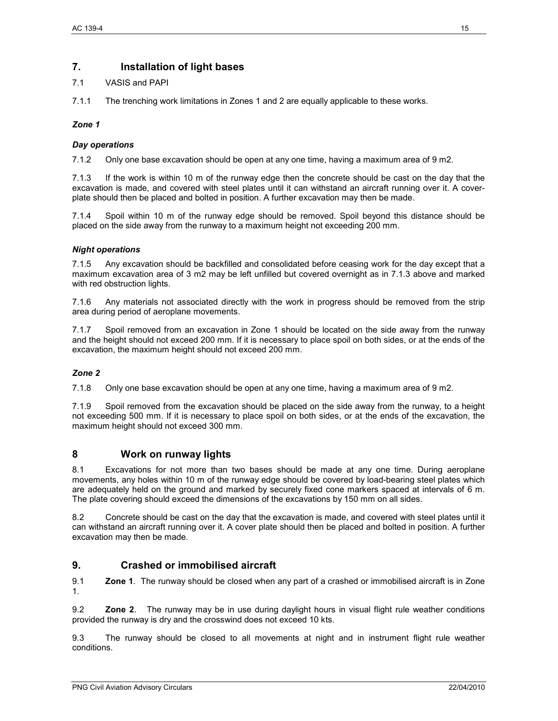# **7. Installation of light bases**

## 7.1 VASIS and PAPI

7.1.1 The trenching work limitations in Zones 1 and 2 are equally applicable to these works.

#### *Zone 1*

## *Day operations*

7.1.2 Only one base excavation should be open at any one time, having a maximum area of 9 m2.

7.1.3 If the work is within 10 m of the runway edge then the concrete should be cast on the day that the excavation is made, and covered with steel plates until it can withstand an aircraft running over it. A coverplate should then be placed and bolted in position. A further excavation may then be made.

7.1.4 Spoil within 10 m of the runway edge should be removed. Spoil beyond this distance should be placed on the side away from the runway to a maximum height not exceeding 200 mm.

#### *Night operations*

7.1.5 Any excavation should be backfilled and consolidated before ceasing work for the day except that a maximum excavation area of 3 m2 may be left unfilled but covered overnight as in 7.1.3 above and marked with red obstruction lights.

7.1.6 Any materials not associated directly with the work in progress should be removed from the strip area during period of aeroplane movements.

7.1.7 Spoil removed from an excavation in Zone 1 should be located on the side away from the runway and the height should not exceed 200 mm. If it is necessary to place spoil on both sides, or at the ends of the excavation, the maximum height should not exceed 200 mm.

# *Zone 2*

7.1.8 Only one base excavation should be open at any one time, having a maximum area of 9 m2.

7.1.9 Spoil removed from the excavation should be placed on the side away from the runway, to a height not exceeding 500 mm. If it is necessary to place spoil on both sides, or at the ends of the excavation, the maximum height should not exceed 300 mm.

# **8 Work on runway lights**

8.1 Excavations for not more than two bases should be made at any one time. During aeroplane movements, any holes within 10 m of the runway edge should be covered by load-bearing steel plates which are adequately held on the ground and marked by securely fixed cone markers spaced at intervals of 6 m. The plate covering should exceed the dimensions of the excavations by 150 mm on all sides.

8.2 Concrete should be cast on the day that the excavation is made, and covered with steel plates until it can withstand an aircraft running over it. A cover plate should then be placed and bolted in position. A further excavation may then be made.

# **9. Crashed or immobilised aircraft**

9.1 **Zone 1**. The runway should be closed when any part of a crashed or immobilised aircraft is in Zone 1.

9.2 **Zone 2**. The runway may be in use during daylight hours in visual flight rule weather conditions provided the runway is dry and the crosswind does not exceed 10 kts.

9.3 The runway should be closed to all movements at night and in instrument flight rule weather conditions.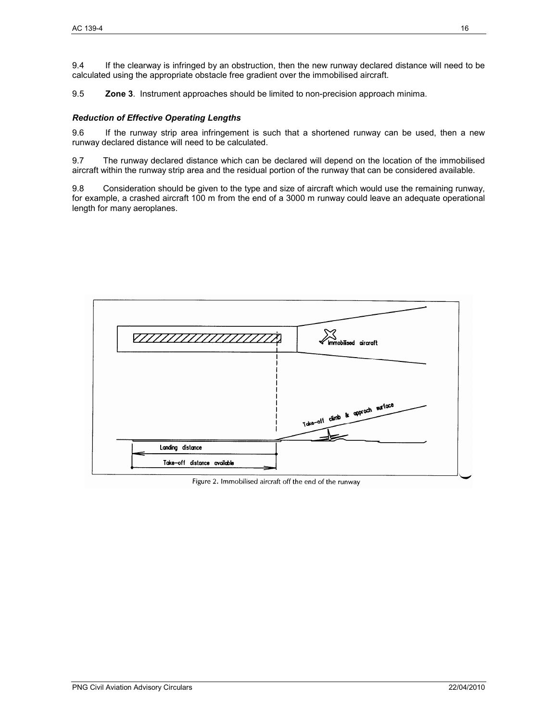9.4 If the clearway is infringed by an obstruction, then the new runway declared distance will need to be calculated using the appropriate obstacle free gradient over the immobilised aircraft.

9.5 **Zone 3**. Instrument approaches should be limited to non-precision approach minima.

#### *Reduction of Effective Operating Lengths*

9.6 If the runway strip area infringement is such that a shortened runway can be used, then a new runway declared distance will need to be calculated.

9.7 The runway declared distance which can be declared will depend on the location of the immobilised aircraft within the runway strip area and the residual portion of the runway that can be considered available.

9.8 Consideration should be given to the type and size of aircraft which would use the remaining runway, for example, a crashed aircraft 100 m from the end of a 3000 m runway could leave an adequate operational length for many aeroplanes.



Figure 2. Immobilised aircraft off the end of the runway